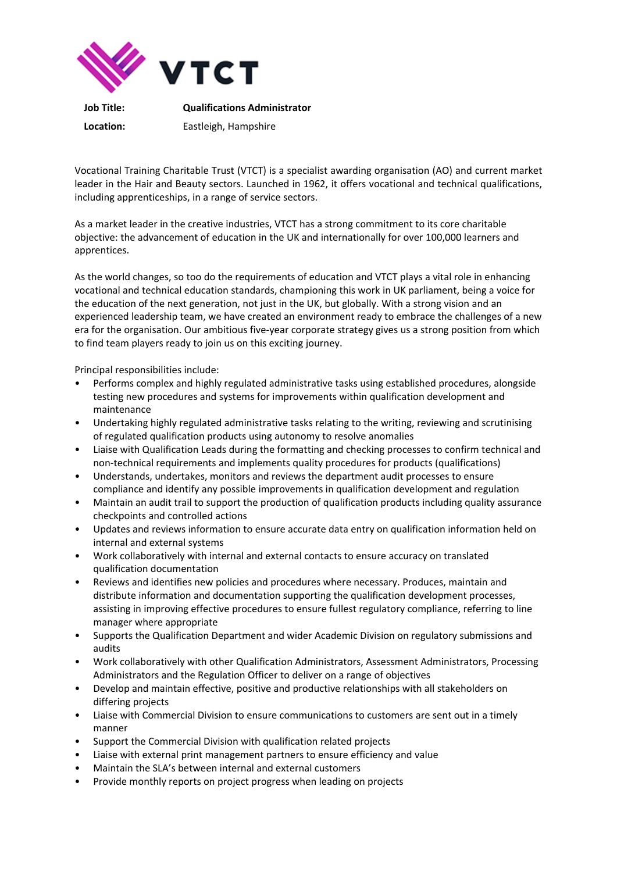

**Location:** Eastleigh, Hampshire

Vocational Training Charitable Trust (VTCT) is a specialist awarding organisation (AO) and current market leader in the Hair and Beauty sectors. Launched in 1962, it offers vocational and technical qualifications, including apprenticeships, in a range of service sectors.

As a market leader in the creative industries, VTCT has a strong commitment to its core charitable objective: the advancement of education in the UK and internationally for over 100,000 learners and apprentices.

As the world changes, so too do the requirements of education and VTCT plays a vital role in enhancing vocational and technical education standards, championing this work in UK parliament, being a voice for the education of the next generation, not just in the UK, but globally. With a strong vision and an experienced leadership team, we have created an environment ready to embrace the challenges of a new era for the organisation. Our ambitious five-year corporate strategy gives us a strong position from which to find team players ready to join us on this exciting journey.

Principal responsibilities include:

- Performs complex and highly regulated administrative tasks using established procedures, alongside testing new procedures and systems for improvements within qualification development and maintenance
- Undertaking highly regulated administrative tasks relating to the writing, reviewing and scrutinising of regulated qualification products using autonomy to resolve anomalies
- Liaise with Qualification Leads during the formatting and checking processes to confirm technical and non-technical requirements and implements quality procedures for products (qualifications)
- Understands, undertakes, monitors and reviews the department audit processes to ensure compliance and identify any possible improvements in qualification development and regulation
- Maintain an audit trail to support the production of qualification products including quality assurance checkpoints and controlled actions
- Updates and reviews information to ensure accurate data entry on qualification information held on internal and external systems
- Work collaboratively with internal and external contacts to ensure accuracy on translated qualification documentation
- Reviews and identifies new policies and procedures where necessary. Produces, maintain and distribute information and documentation supporting the qualification development processes, assisting in improving effective procedures to ensure fullest regulatory compliance, referring to line manager where appropriate
- Supports the Qualification Department and wider Academic Division on regulatory submissions and audits
- Work collaboratively with other Qualification Administrators, Assessment Administrators, Processing Administrators and the Regulation Officer to deliver on a range of objectives
- Develop and maintain effective, positive and productive relationships with all stakeholders on differing projects
- Liaise with Commercial Division to ensure communications to customers are sent out in a timely manner
- Support the Commercial Division with qualification related projects
- Liaise with external print management partners to ensure efficiency and value
- Maintain the SLA's between internal and external customers
- Provide monthly reports on project progress when leading on projects